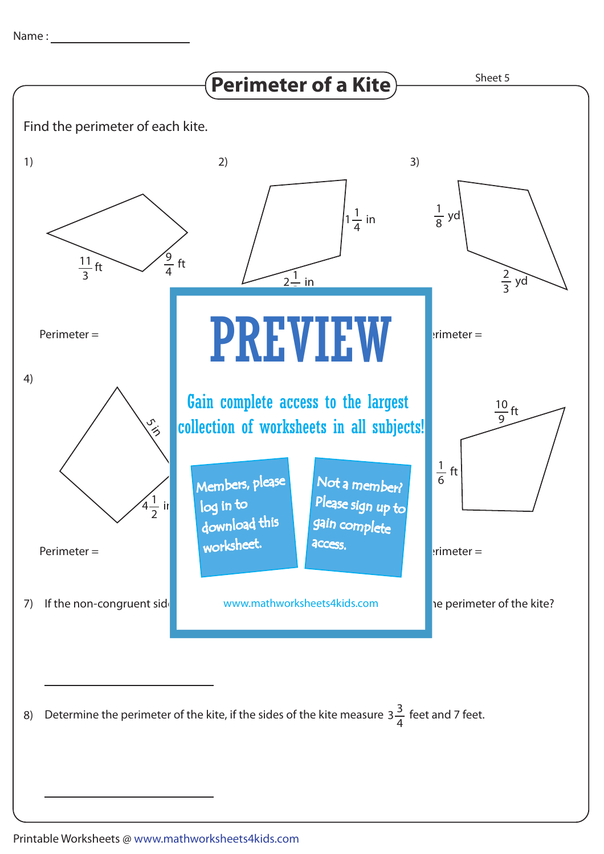